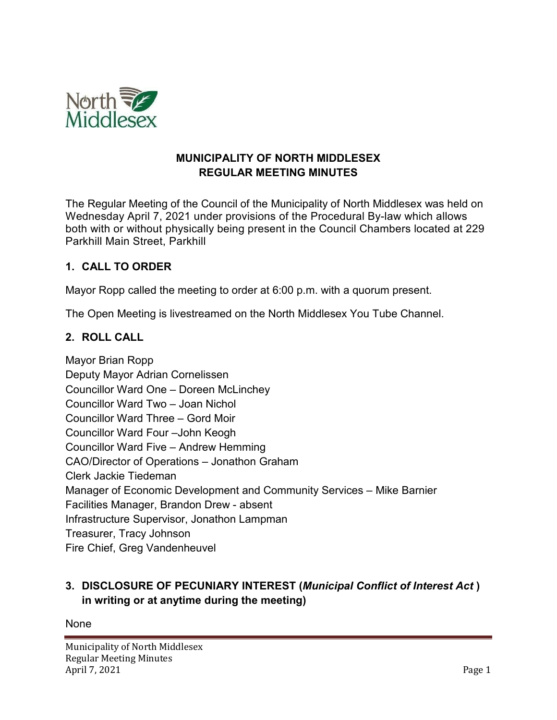

### **MUNICIPALITY OF NORTH MIDDLESEX REGULAR MEETING MINUTES**

The Regular Meeting of the Council of the Municipality of North Middlesex was held on Wednesday April 7, 2021 under provisions of the Procedural By-law which allows both with or without physically being present in the Council Chambers located at 229 Parkhill Main Street, Parkhill

### **1. CALL TO ORDER**

Mayor Ropp called the meeting to order at 6:00 p.m. with a quorum present.

The Open Meeting is livestreamed on the North Middlesex You Tube Channel.

### **2. ROLL CALL**

Mayor Brian Ropp Deputy Mayor Adrian Cornelissen Councillor Ward One – Doreen McLinchey Councillor Ward Two – Joan Nichol Councillor Ward Three – Gord Moir Councillor Ward Four –John Keogh Councillor Ward Five – Andrew Hemming CAO/Director of Operations – Jonathon Graham Clerk Jackie Tiedeman Manager of Economic Development and Community Services – Mike Barnier Facilities Manager, Brandon Drew - absent Infrastructure Supervisor, Jonathon Lampman Treasurer, Tracy Johnson Fire Chief, Greg Vandenheuvel

## **3. DISCLOSURE OF PECUNIARY INTEREST (***Municipal Conflict of Interest Act* **) in writing or at anytime during the meeting)**

None

Municipality of North Middlesex Regular Meeting Minutes April 7, 2021 Page 1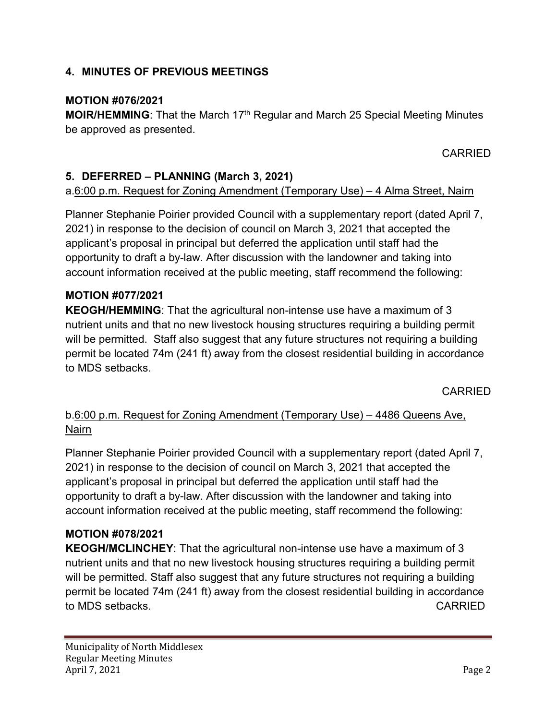### **4. MINUTES OF PREVIOUS MEETINGS**

### **MOTION #076/2021**

**MOIR/HEMMING:** That the March 17<sup>th</sup> Regular and March 25 Special Meeting Minutes be approved as presented.

CARRIED

## **5. DEFERRED – PLANNING (March 3, 2021)**

### a.6:00 p.m. Request for Zoning Amendment (Temporary Use) – 4 Alma Street, Nairn

Planner Stephanie Poirier provided Council with a supplementary report (dated April 7, 2021) in response to the decision of council on March 3, 2021 that accepted the applicant's proposal in principal but deferred the application until staff had the opportunity to draft a by-law. After discussion with the landowner and taking into account information received at the public meeting, staff recommend the following:

### **MOTION #077/2021**

**KEOGH/HEMMING**: That the agricultural non-intense use have a maximum of 3 nutrient units and that no new livestock housing structures requiring a building permit will be permitted. Staff also suggest that any future structures not requiring a building permit be located 74m (241 ft) away from the closest residential building in accordance to MDS setbacks.

CARRIED

## b.6:00 p.m. Request for Zoning Amendment (Temporary Use) – 4486 Queens Ave, Nairn

Planner Stephanie Poirier provided Council with a supplementary report (dated April 7, 2021) in response to the decision of council on March 3, 2021 that accepted the applicant's proposal in principal but deferred the application until staff had the opportunity to draft a by-law. After discussion with the landowner and taking into account information received at the public meeting, staff recommend the following:

### **MOTION #078/2021**

**KEOGH/MCLINCHEY**: That the agricultural non-intense use have a maximum of 3 nutrient units and that no new livestock housing structures requiring a building permit will be permitted. Staff also suggest that any future structures not requiring a building permit be located 74m (241 ft) away from the closest residential building in accordance to MDS setbacks. CARRIED **to MDS** setbacks.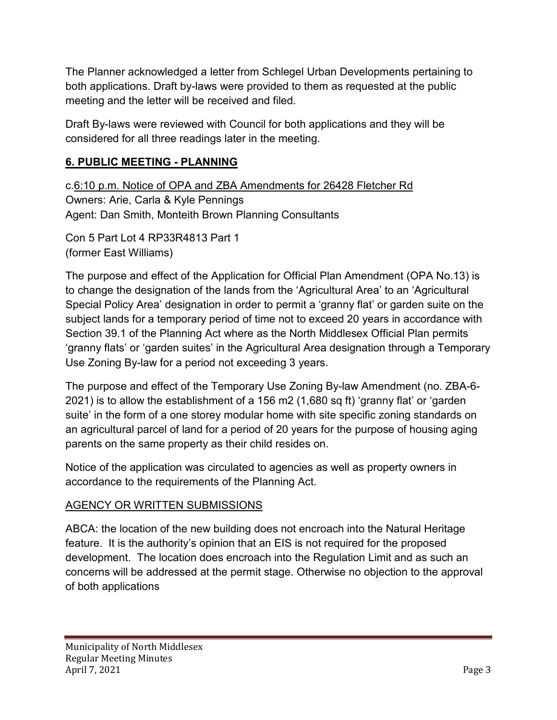The Planner acknowledged a letter from Schlegel Urban Developments pertaining to both applications. Draft by-laws were provided to them as requested at the public meeting and the letter will be received and filed.

Draft By-laws were reviewed with Council for both applications and they will be considered for all three readings later in the meeting.

## **6. PUBLIC MEETING - PLANNING**

c.6:10 p.m. Notice of OPA and ZBA Amendments for 26428 Fletcher Rd Owners: Arie, Carla & Kyle Pennings Agent: Dan Smith, Monteith Brown Planning Consultants

Con 5 Part Lot 4 RP33R4813 Part 1 (former East Williams)

The purpose and effect of the Application for Official Plan Amendment (OPA No.13) is to change the designation of the lands from the 'Agricultural Area' to an 'Agricultural Special Policy Area' designation in order to permit a 'granny flat' or garden suite on the subject lands for a temporary period of time not to exceed 20 years in accordance with Section 39.1 of the Planning Act where as the North Middlesex Official Plan permits 'granny flats' or 'garden suites' in the Agricultural Area designation through a Temporary Use Zoning By-law for a period not exceeding 3 years.

The purpose and effect of the Temporary Use Zoning By-law Amendment (no. ZBA-6- 2021) is to allow the establishment of a 156 m2 (1,680 sq ft) 'granny flat' or 'garden suite' in the form of a one storey modular home with site specific zoning standards on an agricultural parcel of land for a period of 20 years for the purpose of housing aging parents on the same property as their child resides on.

Notice of the application was circulated to agencies as well as property owners in accordance to the requirements of the Planning Act.

## AGENCY OR WRITTEN SUBMISSIONS

ABCA: the location of the new building does not encroach into the Natural Heritage feature. It is the authority's opinion that an EIS is not required for the proposed development. The location does encroach into the Regulation Limit and as such an concerns will be addressed at the permit stage. Otherwise no objection to the approval of both applications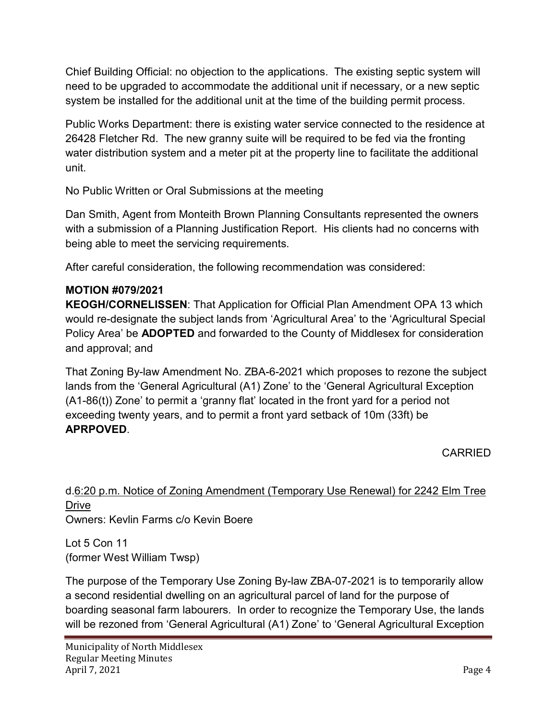Chief Building Official: no objection to the applications. The existing septic system will need to be upgraded to accommodate the additional unit if necessary, or a new septic system be installed for the additional unit at the time of the building permit process.

Public Works Department: there is existing water service connected to the residence at 26428 Fletcher Rd. The new granny suite will be required to be fed via the fronting water distribution system and a meter pit at the property line to facilitate the additional unit.

No Public Written or Oral Submissions at the meeting

Dan Smith, Agent from Monteith Brown Planning Consultants represented the owners with a submission of a Planning Justification Report. His clients had no concerns with being able to meet the servicing requirements.

After careful consideration, the following recommendation was considered:

### **MOTION #079/2021**

**KEOGH/CORNELISSEN**: That Application for Official Plan Amendment OPA 13 which would re-designate the subject lands from 'Agricultural Area' to the 'Agricultural Special Policy Area' be **ADOPTED** and forwarded to the County of Middlesex for consideration and approval; and

That Zoning By-law Amendment No. ZBA-6-2021 which proposes to rezone the subject lands from the 'General Agricultural (A1) Zone' to the 'General Agricultural Exception (A1-86(t)) Zone' to permit a 'granny flat' located in the front yard for a period not exceeding twenty years, and to permit a front yard setback of 10m (33ft) be **APRPOVED**.

CARRIED

# d.6:20 p.m. Notice of Zoning Amendment (Temporary Use Renewal) for 2242 Elm Tree Drive

Owners: Kevlin Farms c/o Kevin Boere

Lot 5 Con 11 (former West William Twsp)

The purpose of the Temporary Use Zoning By-law ZBA-07-2021 is to temporarily allow a second residential dwelling on an agricultural parcel of land for the purpose of boarding seasonal farm labourers. In order to recognize the Temporary Use, the lands will be rezoned from 'General Agricultural (A1) Zone' to 'General Agricultural Exception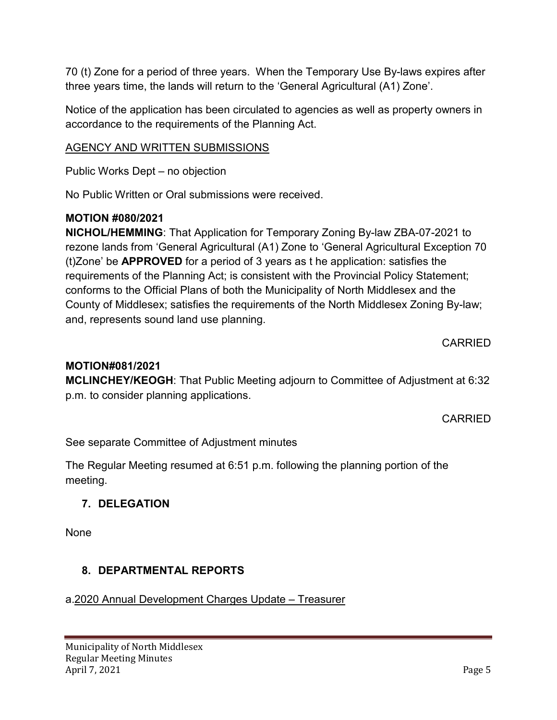70 (t) Zone for a period of three years. When the Temporary Use By-laws expires after three years time, the lands will return to the 'General Agricultural (A1) Zone'.

Notice of the application has been circulated to agencies as well as property owners in accordance to the requirements of the Planning Act.

## AGENCY AND WRITTEN SUBMISSIONS

Public Works Dept – no objection

No Public Written or Oral submissions were received.

## **MOTION #080/2021**

**NICHOL/HEMMING**: That Application for Temporary Zoning By-law ZBA-07-2021 to rezone lands from 'General Agricultural (A1) Zone to 'General Agricultural Exception 70 (t)Zone' be **APPROVED** for a period of 3 years as t he application: satisfies the requirements of the Planning Act; is consistent with the Provincial Policy Statement; conforms to the Official Plans of both the Municipality of North Middlesex and the County of Middlesex; satisfies the requirements of the North Middlesex Zoning By-law; and, represents sound land use planning.

CARRIED

## **MOTION#081/2021**

**MCLINCHEY/KEOGH**: That Public Meeting adjourn to Committee of Adjustment at 6:32 p.m. to consider planning applications.

CARRIED

See separate Committee of Adjustment minutes

The Regular Meeting resumed at 6:51 p.m. following the planning portion of the meeting.

## **7. DELEGATION**

None

## **8. DEPARTMENTAL REPORTS**

## a.2020 Annual Development Charges Update – Treasurer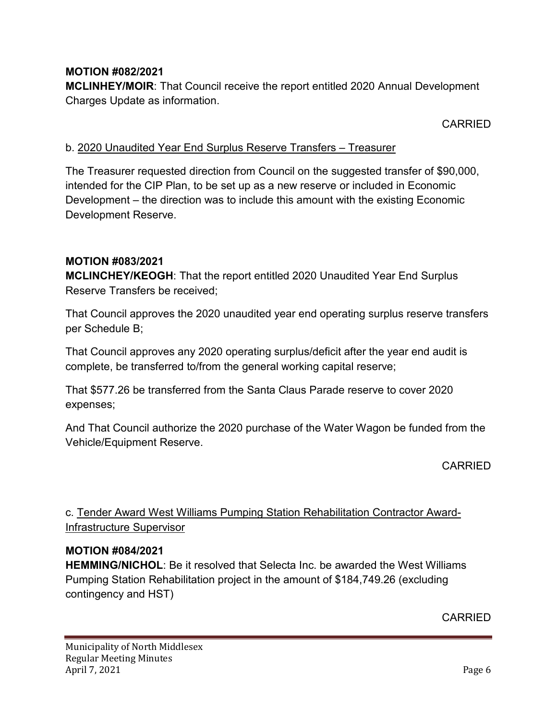### **MOTION #082/2021**

**MCLINHEY/MOIR**: That Council receive the report entitled 2020 Annual Development Charges Update as information.

CARRIED

### b. 2020 Unaudited Year End Surplus Reserve Transfers – Treasurer

The Treasurer requested direction from Council on the suggested transfer of \$90,000, intended for the CIP Plan, to be set up as a new reserve or included in Economic Development – the direction was to include this amount with the existing Economic Development Reserve.

### **MOTION #083/2021**

**MCLINCHEY/KEOGH**: That the report entitled 2020 Unaudited Year End Surplus Reserve Transfers be received;

That Council approves the 2020 unaudited year end operating surplus reserve transfers per Schedule B;

That Council approves any 2020 operating surplus/deficit after the year end audit is complete, be transferred to/from the general working capital reserve;

That \$577.26 be transferred from the Santa Claus Parade reserve to cover 2020 expenses;

And That Council authorize the 2020 purchase of the Water Wagon be funded from the Vehicle/Equipment Reserve.

CARRIED

## c. Tender Award West Williams Pumping Station Rehabilitation Contractor Award-Infrastructure Supervisor

#### **MOTION #084/2021**

**HEMMING/NICHOL**: Be it resolved that Selecta Inc. be awarded the West Williams Pumping Station Rehabilitation project in the amount of \$184,749.26 (excluding contingency and HST)

CARRIED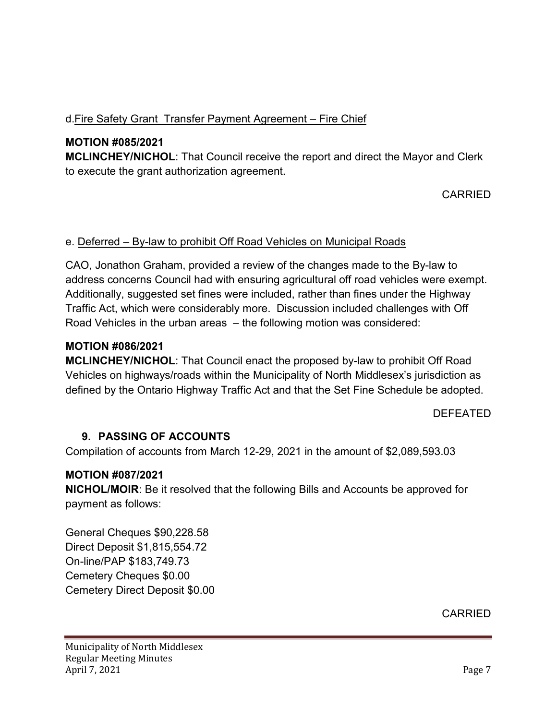## d.Fire Safety Grant Transfer Payment Agreement – Fire Chief

## **MOTION #085/2021**

**MCLINCHEY/NICHOL**: That Council receive the report and direct the Mayor and Clerk to execute the grant authorization agreement.

## CARRIED

### e. Deferred – By-law to prohibit Off Road Vehicles on Municipal Roads

CAO, Jonathon Graham, provided a review of the changes made to the By-law to address concerns Council had with ensuring agricultural off road vehicles were exempt. Additionally, suggested set fines were included, rather than fines under the Highway Traffic Act, which were considerably more. Discussion included challenges with Off Road Vehicles in the urban areas – the following motion was considered:

### **MOTION #086/2021**

**MCLINCHEY/NICHOL**: That Council enact the proposed by-law to prohibit Off Road Vehicles on highways/roads within the Municipality of North Middlesex's jurisdiction as defined by the Ontario Highway Traffic Act and that the Set Fine Schedule be adopted.

### DEFEATED

### **9. PASSING OF ACCOUNTS**

Compilation of accounts from March 12-29, 2021 in the amount of \$2,089,593.03

### **MOTION #087/2021**

**NICHOL/MOIR**: Be it resolved that the following Bills and Accounts be approved for payment as follows:

General Cheques \$90,228.58 Direct Deposit \$1,815,554.72 On-line/PAP \$183,749.73 Cemetery Cheques \$0.00 Cemetery Direct Deposit \$0.00

CARRIED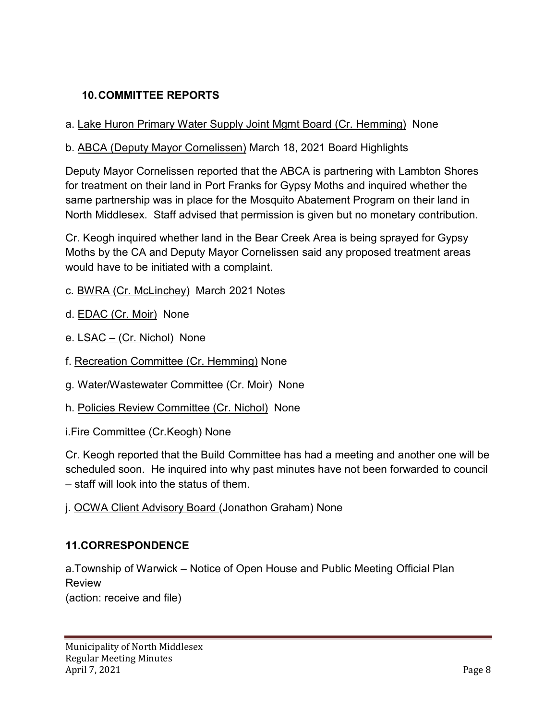## **10.COMMITTEE REPORTS**

### a. Lake Huron Primary Water Supply Joint Mgmt Board (Cr. Hemming) None

### b. ABCA (Deputy Mayor Cornelissen) March 18, 2021 Board Highlights

Deputy Mayor Cornelissen reported that the ABCA is partnering with Lambton Shores for treatment on their land in Port Franks for Gypsy Moths and inquired whether the same partnership was in place for the Mosquito Abatement Program on their land in North Middlesex. Staff advised that permission is given but no monetary contribution.

Cr. Keogh inquired whether land in the Bear Creek Area is being sprayed for Gypsy Moths by the CA and Deputy Mayor Cornelissen said any proposed treatment areas would have to be initiated with a complaint.

- c. BWRA (Cr. McLinchey) March 2021 Notes
- d. EDAC (Cr. Moir) None
- e. LSAC (Cr. Nichol) None
- f. Recreation Committee (Cr. Hemming) None
- g. Water/Wastewater Committee (Cr. Moir) None
- h. Policies Review Committee (Cr. Nichol) None

i.Fire Committee (Cr.Keogh) None

Cr. Keogh reported that the Build Committee has had a meeting and another one will be scheduled soon. He inquired into why past minutes have not been forwarded to council – staff will look into the status of them.

j. OCWA Client Advisory Board (Jonathon Graham) None

### **11.CORRESPONDENCE**

a.Township of Warwick – Notice of Open House and Public Meeting Official Plan Review (action: receive and file)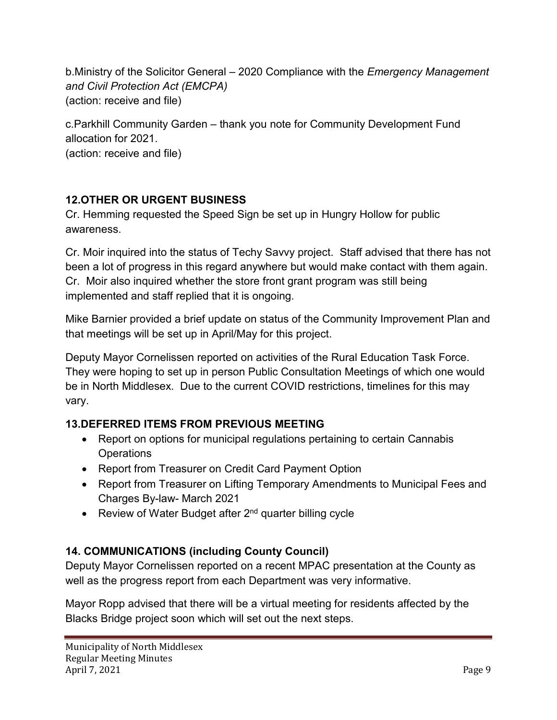b.Ministry of the Solicitor General – 2020 Compliance with the *Emergency Management and Civil Protection Act (EMCPA)* (action: receive and file)

c.Parkhill Community Garden – thank you note for Community Development Fund allocation for 2021. (action: receive and file)

## **12.OTHER OR URGENT BUSINESS**

Cr. Hemming requested the Speed Sign be set up in Hungry Hollow for public awareness.

Cr. Moir inquired into the status of Techy Savvy project. Staff advised that there has not been a lot of progress in this regard anywhere but would make contact with them again. Cr. Moir also inquired whether the store front grant program was still being implemented and staff replied that it is ongoing.

Mike Barnier provided a brief update on status of the Community Improvement Plan and that meetings will be set up in April/May for this project.

Deputy Mayor Cornelissen reported on activities of the Rural Education Task Force. They were hoping to set up in person Public Consultation Meetings of which one would be in North Middlesex. Due to the current COVID restrictions, timelines for this may vary.

## **13.DEFERRED ITEMS FROM PREVIOUS MEETING**

- Report on options for municipal regulations pertaining to certain Cannabis **Operations**
- Report from Treasurer on Credit Card Payment Option
- Report from Treasurer on Lifting Temporary Amendments to Municipal Fees and Charges By-law- March 2021
- Review of Water Budget after 2<sup>nd</sup> quarter billing cycle

## **14. COMMUNICATIONS (including County Council)**

Deputy Mayor Cornelissen reported on a recent MPAC presentation at the County as well as the progress report from each Department was very informative.

Mayor Ropp advised that there will be a virtual meeting for residents affected by the Blacks Bridge project soon which will set out the next steps.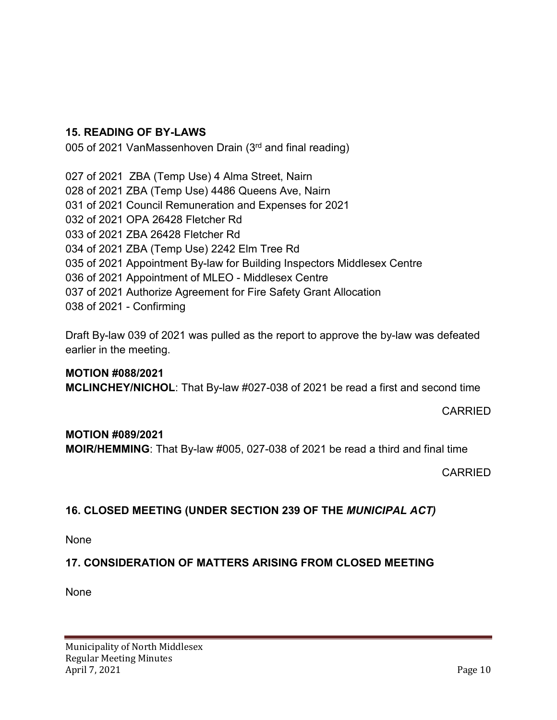### **15. READING OF BY-LAWS**

005 of 2021 VanMassenhoven Drain (3rd and final reading)

027 of 2021 ZBA (Temp Use) 4 Alma Street, Nairn 028 of 2021 ZBA (Temp Use) 4486 Queens Ave, Nairn 031 of 2021 Council Remuneration and Expenses for 2021 032 of 2021 OPA 26428 Fletcher Rd 033 of 2021 ZBA 26428 Fletcher Rd 034 of 2021 ZBA (Temp Use) 2242 Elm Tree Rd 035 of 2021 Appointment By-law for Building Inspectors Middlesex Centre 036 of 2021 Appointment of MLEO - Middlesex Centre 037 of 2021 Authorize Agreement for Fire Safety Grant Allocation 038 of 2021 - Confirming

Draft By-law 039 of 2021 was pulled as the report to approve the by-law was defeated earlier in the meeting.

**MOTION #088/2021 MCLINCHEY/NICHOL**: That By-law #027-038 of 2021 be read a first and second time

CARRIED

### **MOTION #089/2021**

**MOIR/HEMMING**: That By-law #005, 027-038 of 2021 be read a third and final time

CARRIED

## **16. CLOSED MEETING (UNDER SECTION 239 OF THE** *MUNICIPAL ACT)*

None

## **17. CONSIDERATION OF MATTERS ARISING FROM CLOSED MEETING**

None